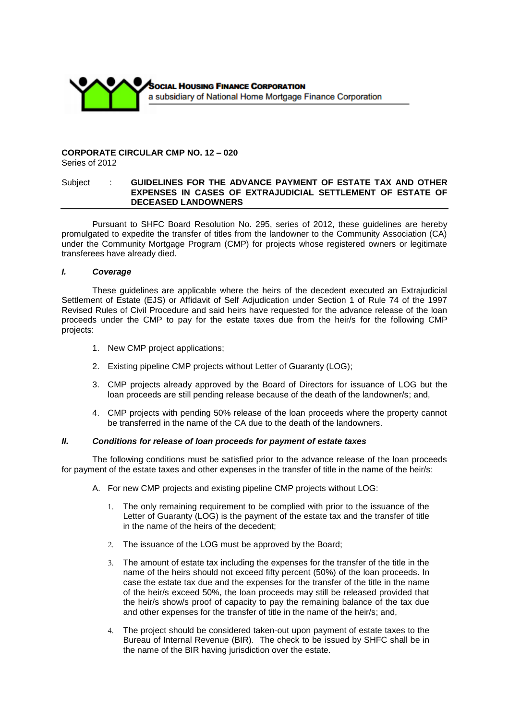

#### **CORPORATE CIRCULAR CMP NO. 12 – 020**  Series of 2012

## Subject : **GUIDELINES FOR THE ADVANCE PAYMENT OF ESTATE TAX AND OTHER EXPENSES IN CASES OF EXTRAJUDICIAL SETTLEMENT OF ESTATE OF DECEASED LANDOWNERS**

Pursuant to SHFC Board Resolution No. 295, series of 2012, these guidelines are hereby promulgated to expedite the transfer of titles from the landowner to the Community Association (CA) under the Community Mortgage Program (CMP) for projects whose registered owners or legitimate transferees have already died.

#### *I. Coverage*

These guidelines are applicable where the heirs of the decedent executed an Extrajudicial Settlement of Estate (EJS) or Affidavit of Self Adjudication under Section 1 of Rule 74 of the 1997 Revised Rules of Civil Procedure and said heirs have requested for the advance release of the loan proceeds under the CMP to pay for the estate taxes due from the heir/s for the following CMP projects:

- 1. New CMP project applications;
- 2. Existing pipeline CMP projects without Letter of Guaranty (LOG);
- 3. CMP projects already approved by the Board of Directors for issuance of LOG but the loan proceeds are still pending release because of the death of the landowner/s; and,
- 4. CMP projects with pending 50% release of the loan proceeds where the property cannot be transferred in the name of the CA due to the death of the landowners.

## *II. Conditions for release of loan proceeds for payment of estate taxes*

The following conditions must be satisfied prior to the advance release of the loan proceeds for payment of the estate taxes and other expenses in the transfer of title in the name of the heir/s:

- A. For new CMP projects and existing pipeline CMP projects without LOG:
	- 1. The only remaining requirement to be complied with prior to the issuance of the Letter of Guaranty (LOG) is the payment of the estate tax and the transfer of title in the name of the heirs of the decedent;
	- 2. The issuance of the LOG must be approved by the Board;
	- 3. The amount of estate tax including the expenses for the transfer of the title in the name of the heirs should not exceed fifty percent (50%) of the loan proceeds. In case the estate tax due and the expenses for the transfer of the title in the name of the heir/s exceed 50%, the loan proceeds may still be released provided that the heir/s show/s proof of capacity to pay the remaining balance of the tax due and other expenses for the transfer of title in the name of the heir/s; and,
	- 4. The project should be considered taken-out upon payment of estate taxes to the Bureau of Internal Revenue (BIR). The check to be issued by SHFC shall be in the name of the BIR having jurisdiction over the estate.